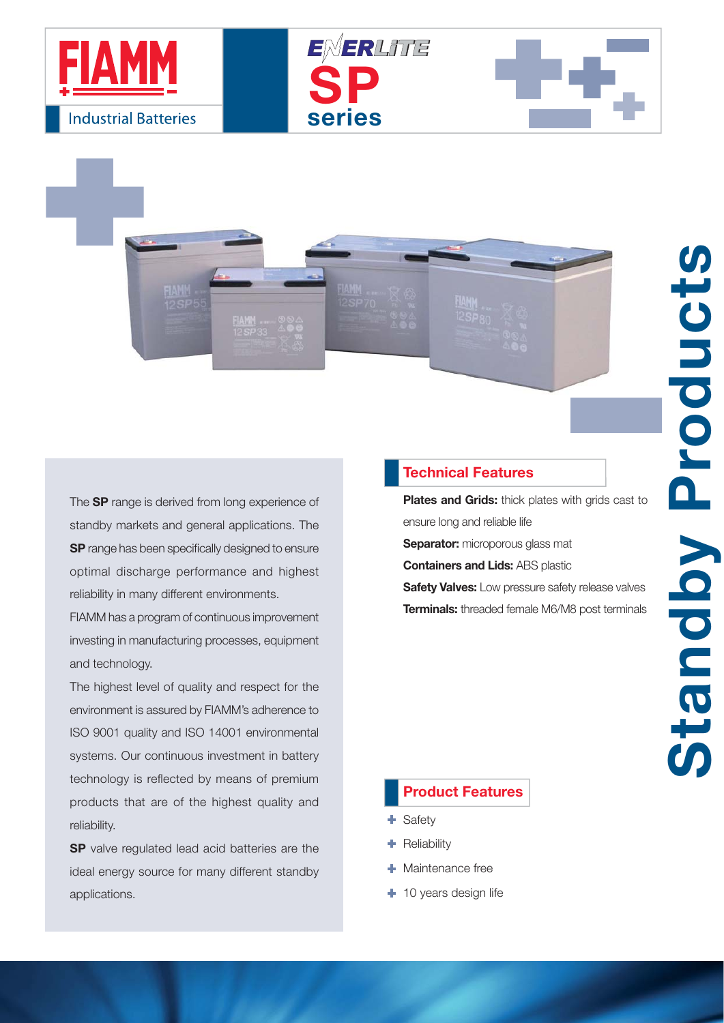

The **SP** range is derived from long experience of standby markets and general applications. The **SP** range has been specifically designed to ensure optimal discharge performance and highest reliability in many different environments.

FIAMM has a program of continuous improvement investing in manufacturing processes, equipment and technology.

The highest level of quality and respect for the environment is assured by FIAMM's adherence to ISO 9001 quality and ISO 14001 environmental systems. Our continuous investment in battery technology is reflected by means of premium products that are of the highest quality and reliability.

**SP** valve regulated lead acid batteries are the ideal energy source for many different standby applications.

## **Technical Features**

**SP**

ENERLITE

**series**

**Plates and Grids:** thick plates with grids cast to ensure long and reliable life **Separator:** microporous glass mat **Containers and Lids:** ABS plastic

Standby Products

Standby

Product

**Safety Valves:** Low pressure safety release valves **Terminals:** threaded female M6/M8 post terminals

## **Product Features**

- + Safety
- **Reliability**
- **+** Maintenance free
- + 10 years design life